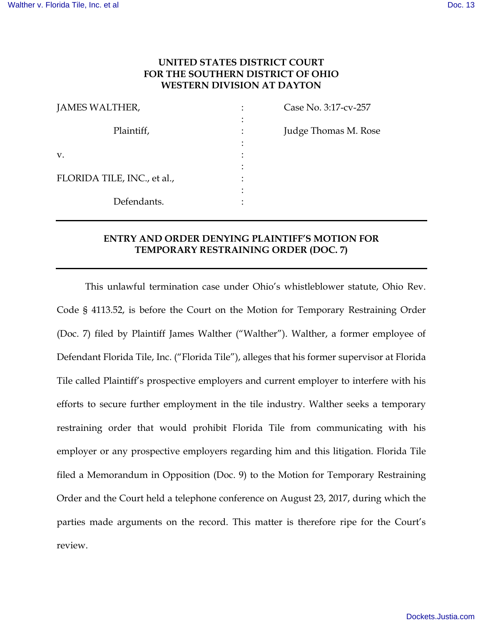# **UNITED STATES DISTRICT COURT FOR THE SOUTHERN DISTRICT OF OHIO WESTERN DIVISION AT DAYTON**

| JAMES WALTHER,              | Case No. 3:17-cv-257 |
|-----------------------------|----------------------|
| Plaintiff,                  | Judge Thomas M. Rose |
| V.                          |                      |
|                             |                      |
| FLORIDA TILE, INC., et al., |                      |
|                             |                      |
| Defendants.                 |                      |

# **ENTRY AND ORDER DENYING PLAINTIFF'S MOTION FOR TEMPORARY RESTRAINING ORDER (DOC. 7)**

 This unlawful termination case under Ohio's whistleblower statute, Ohio Rev. Code § 4113.52, is before the Court on the Motion for Temporary Restraining Order (Doc. 7) filed by Plaintiff James Walther ("Walther"). Walther, a former employee of Defendant Florida Tile, Inc. ("Florida Tile"), alleges that his former supervisor at Florida Tile called Plaintiff's prospective employers and current employer to interfere with his efforts to secure further employment in the tile industry. Walther seeks a temporary restraining order that would prohibit Florida Tile from communicating with his employer or any prospective employers regarding him and this litigation. Florida Tile filed a Memorandum in Opposition (Doc. 9) to the Motion for Temporary Restraining Order and the Court held a telephone conference on August 23, 2017, during which the parties made arguments on the record. This matter is therefore ripe for the Court's review.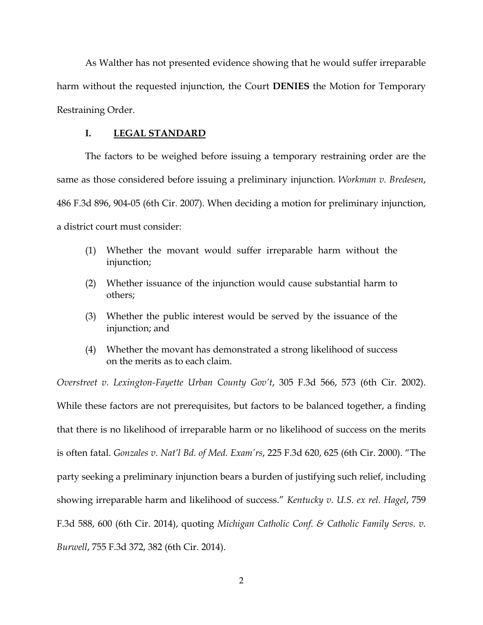As Walther has not presented evidence showing that he would suffer irreparable harm without the requested injunction, the Court **DENIES** the Motion for Temporary Restraining Order.

### **I. LEGAL STANDARD**

 The factors to be weighed before issuing a temporary restraining order are the same as those considered before issuing a preliminary injunction. *Workman v. Bredesen*, 486 F.3d 896, 904-05 (6th Cir. 2007). When deciding a motion for preliminary injunction, a district court must consider:

- (1) Whether the movant would suffer irreparable harm without the injunction;
- (2) Whether issuance of the injunction would cause substantial harm to others;
- (3) Whether the public interest would be served by the issuance of the injunction; and
- (4) Whether the movant has demonstrated a strong likelihood of success on the merits as to each claim.

*Overstreet v. Lexington-Fayette Urban County Gov't*, 305 F.3d 566, 573 (6th Cir. 2002).

While these factors are not prerequisites, but factors to be balanced together, a finding that there is no likelihood of irreparable harm or no likelihood of success on the merits is often fatal. *Gonzales v. Nat'l Bd. of Med. Exam'rs*, 225 F.3d 620, 625 (6th Cir. 2000). "The party seeking a preliminary injunction bears a burden of justifying such relief, including showing irreparable harm and likelihood of success." *Kentucky v. U.S. ex rel. Hagel*, 759 F.3d 588, 600 (6th Cir. 2014), quoting *Michigan Catholic Conf. & Catholic Family Servs. v. Burwell*, 755 F.3d 372, 382 (6th Cir. 2014).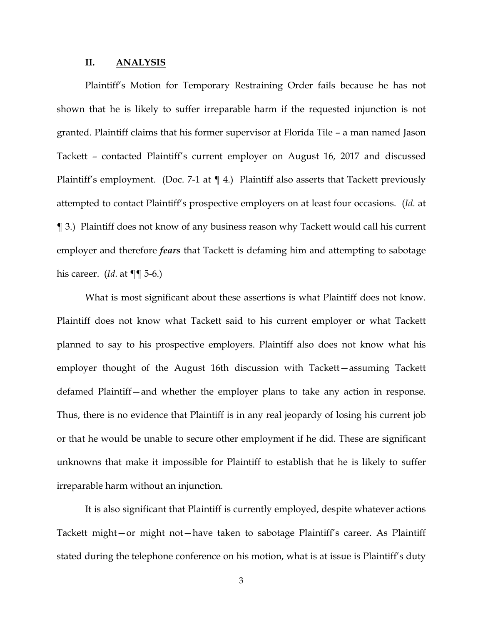### **II. ANALYSIS**

Plaintiff's Motion for Temporary Restraining Order fails because he has not shown that he is likely to suffer irreparable harm if the requested injunction is not granted. Plaintiff claims that his former supervisor at Florida Tile – a man named Jason Tackett – contacted Plaintiff's current employer on August 16, 2017 and discussed Plaintiff's employment. (Doc. 7-1 at  $\P$  4.) Plaintiff also asserts that Tackett previously attempted to contact Plaintiff's prospective employers on at least four occasions. (*Id.* at ¶ 3.) Plaintiff does not know of any business reason why Tackett would call his current employer and therefore *fears* that Tackett is defaming him and attempting to sabotage his career. (*Id*. at ¶¶ 5-6.)

What is most significant about these assertions is what Plaintiff does not know. Plaintiff does not know what Tackett said to his current employer or what Tackett planned to say to his prospective employers. Plaintiff also does not know what his employer thought of the August 16th discussion with Tackett—assuming Tackett defamed Plaintiff—and whether the employer plans to take any action in response. Thus, there is no evidence that Plaintiff is in any real jeopardy of losing his current job or that he would be unable to secure other employment if he did. These are significant unknowns that make it impossible for Plaintiff to establish that he is likely to suffer irreparable harm without an injunction.

It is also significant that Plaintiff is currently employed, despite whatever actions Tackett might—or might not—have taken to sabotage Plaintiff's career. As Plaintiff stated during the telephone conference on his motion, what is at issue is Plaintiff's duty